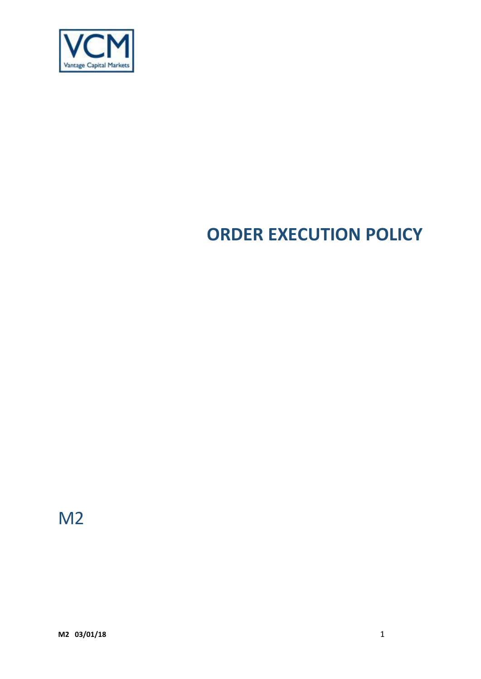

# **ORDER EXECUTION POLICY**

M2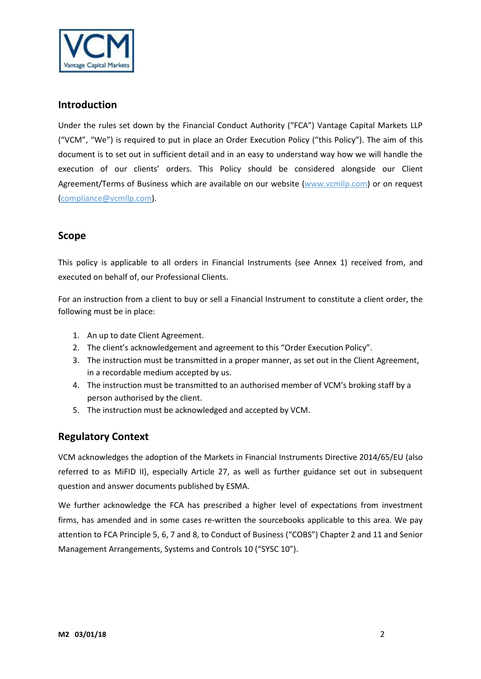

## **Introduction**

Under the rules set down by the Financial Conduct Authority ("FCA") Vantage Capital Markets LLP ("VCM", "We") is required to put in place an Order Execution Policy ("this Policy"). The aim of this document is to set out in sufficient detail and in an easy to understand way how we will handle the execution of our clients' orders. This Policy should be considered alongside our Client Agreement/Terms of Business which are available on our website [\(www.vcmllp.com\)](http://www.vcmllp.com/) or on request (compliance@vcmllp.com).

# **Scope**

This policy is applicable to all orders in Financial Instruments (see Annex 1) received from, and executed on behalf of, our Professional Clients.

For an instruction from a client to buy or sell a Financial Instrument to constitute a client order, the following must be in place:

- 1. An up to date Client Agreement.
- 2. The client's acknowledgement and agreement to this "Order Execution Policy".
- 3. The instruction must be transmitted in a proper manner, as set out in the Client Agreement, in a recordable medium accepted by us.
- 4. The instruction must be transmitted to an authorised member of VCM's broking staff by a person authorised by the client.
- 5. The instruction must be acknowledged and accepted by VCM.

# **Regulatory Context**

VCM acknowledges the adoption of the Markets in Financial Instruments Directive 2014/65/EU (also referred to as MiFID II), especially Article 27, as well as further guidance set out in subsequent question and answer documents published by ESMA.

We further acknowledge the FCA has prescribed a higher level of expectations from investment firms, has amended and in some cases re-written the sourcebooks applicable to this area. We pay attention to FCA Principle 5, 6, 7 and 8, to Conduct of Business ("COBS") Chapter 2 and 11 and Senior Management Arrangements, Systems and Controls 10 ("SYSC 10").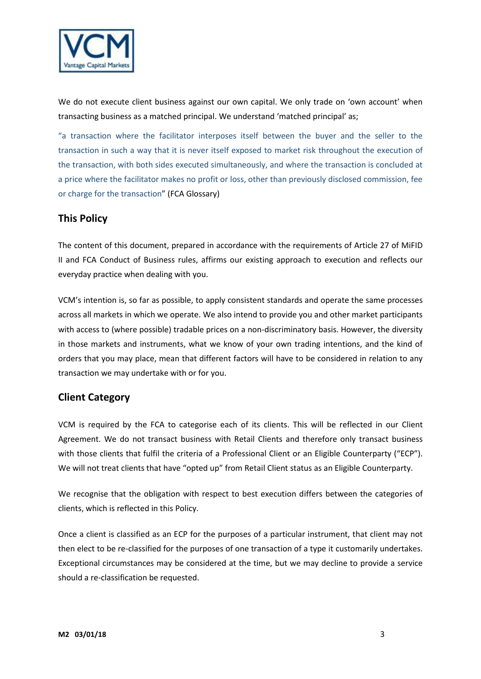

We do not execute client business against our own capital. We only trade on 'own account' when transacting business as a matched principal. We understand 'matched principal' as;

"a transaction where the facilitator interposes itself between the buyer and the seller to the transaction in such a way that it is never itself exposed to market risk throughout the execution of the transaction, with both sides executed simultaneously, and where the transaction is concluded at a price where the facilitator makes no profit or loss, other than previously disclosed commission, fee or charge for the transaction" (FCA Glossary)

# **This Policy**

The content of this document, prepared in accordance with the requirements of Article 27 of MiFID II and FCA Conduct of Business rules, affirms our existing approach to execution and reflects our everyday practice when dealing with you.

VCM's intention is, so far as possible, to apply consistent standards and operate the same processes across all markets in which we operate. We also intend to provide you and other market participants with access to (where possible) tradable prices on a non-discriminatory basis. However, the diversity in those markets and instruments, what we know of your own trading intentions, and the kind of orders that you may place, mean that different factors will have to be considered in relation to any transaction we may undertake with or for you.

## **Client Category**

VCM is required by the FCA to categorise each of its clients. This will be reflected in our Client Agreement. We do not transact business with Retail Clients and therefore only transact business with those clients that fulfil the criteria of a Professional Client or an Eligible Counterparty ("ECP"). We will not treat clients that have "opted up" from Retail Client status as an Eligible Counterparty.

We recognise that the obligation with respect to best execution differs between the categories of clients, which is reflected in this Policy.

Once a client is classified as an ECP for the purposes of a particular instrument, that client may not then elect to be re-classified for the purposes of one transaction of a type it customarily undertakes. Exceptional circumstances may be considered at the time, but we may decline to provide a service should a re-classification be requested.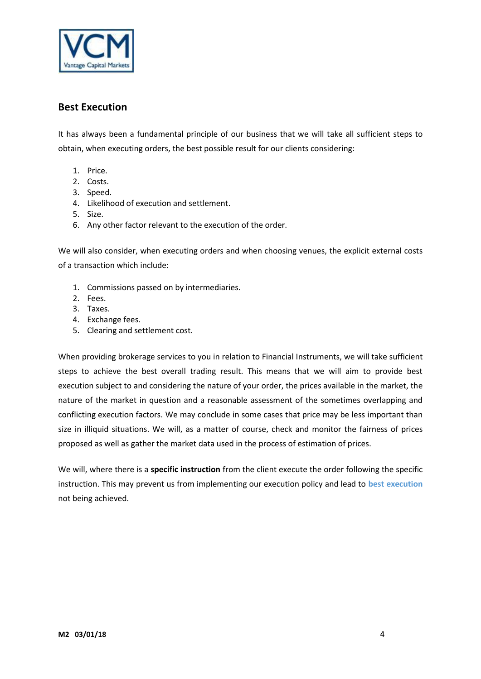

# **Best Execution**

It has always been a fundamental principle of our business that we will take all sufficient steps to obtain, when executing orders, the best possible result for our clients considering:

- 1. Price.
- 2. Costs.
- 3. Speed.
- 4. Likelihood of execution and settlement.
- 5. Size.
- 6. Any other factor relevant to the execution of the order.

We will also consider, when executing orders and when choosing venues, the explicit external costs of a transaction which include:

- 1. Commissions passed on by intermediaries.
- 2. Fees.
- 3. Taxes.
- 4. Exchange fees.
- 5. Clearing and settlement cost.

When providing brokerage services to you in relation to Financial Instruments, we will take sufficient steps to achieve the best overall trading result. This means that we will aim to provide best execution subject to and considering the nature of your order, the prices available in the market, the nature of the market in question and a reasonable assessment of the sometimes overlapping and conflicting execution factors. We may conclude in some cases that price may be less important than size in illiquid situations. We will, as a matter of course, check and monitor the fairness of prices proposed as well as gather the market data used in the process of estimation of prices.

We will, where there is a **specific instruction** from the client execute the order following the specific instruction. This may prevent us from implementing our execution policy and lead to **best execution** not being achieved.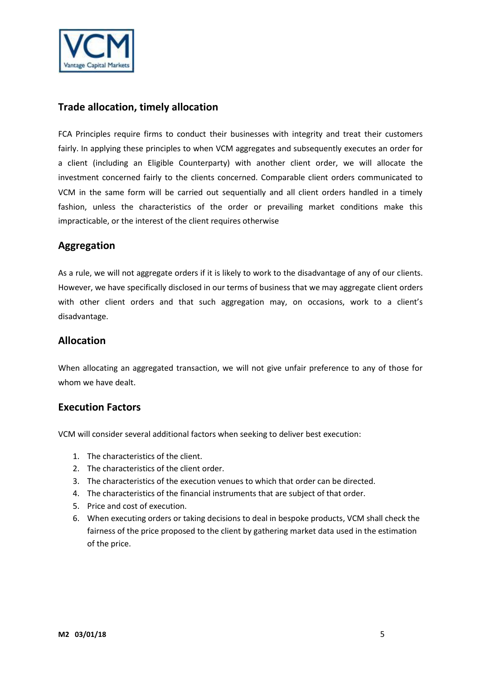

# **Trade allocation, timely allocation**

FCA Principles require firms to conduct their businesses with integrity and treat their customers fairly. In applying these principles to when VCM aggregates and subsequently executes an order for a client (including an Eligible Counterparty) with another client order, we will allocate the investment concerned fairly to the clients concerned. Comparable client orders communicated to VCM in the same form will be carried out sequentially and all client orders handled in a timely fashion, unless the characteristics of the order or prevailing market conditions make this impracticable, or the interest of the client requires otherwise

# **Aggregation**

As a rule, we will not aggregate orders if it is likely to work to the disadvantage of any of our clients. However, we have specifically disclosed in our terms of business that we may aggregate client orders with other client orders and that such aggregation may, on occasions, work to a client's disadvantage.

## **Allocation**

When allocating an aggregated transaction, we will not give unfair preference to any of those for whom we have dealt.

## **Execution Factors**

VCM will consider several additional factors when seeking to deliver best execution:

- 1. The characteristics of the client.
- 2. The characteristics of the client order.
- 3. The characteristics of the execution venues to which that order can be directed.
- 4. The characteristics of the financial instruments that are subject of that order.
- 5. Price and cost of execution.
- 6. When executing orders or taking decisions to deal in bespoke products, VCM shall check the fairness of the price proposed to the client by gathering market data used in the estimation of the price.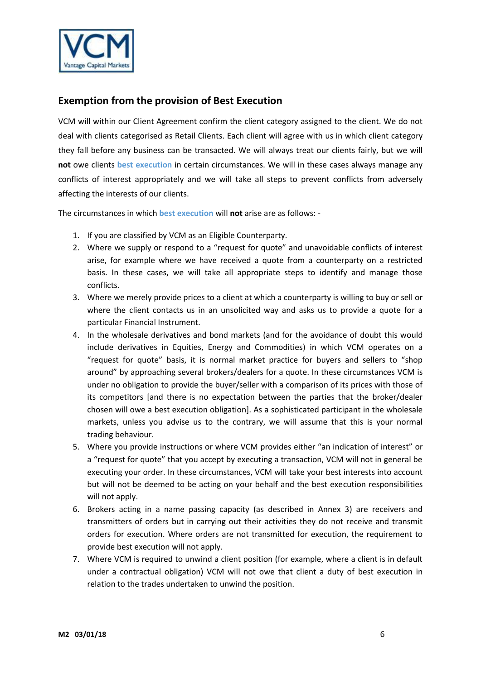

# **Exemption from the provision of Best Execution**

VCM will within our Client Agreement confirm the client category assigned to the client. We do not deal with clients categorised as Retail Clients. Each client will agree with us in which client category they fall before any business can be transacted. We will always treat our clients fairly, but we will **not** owe clients **best execution** in certain circumstances. We will in these cases always manage any conflicts of interest appropriately and we will take all steps to prevent conflicts from adversely affecting the interests of our clients.

The circumstances in which **best execution** will **not** arise are as follows: -

- 1. If you are classified by VCM as an Eligible Counterparty.
- 2. Where we supply or respond to a "request for quote" and unavoidable conflicts of interest arise, for example where we have received a quote from a counterparty on a restricted basis. In these cases, we will take all appropriate steps to identify and manage those conflicts.
- 3. Where we merely provide prices to a client at which a counterparty is willing to buy or sell or where the client contacts us in an unsolicited way and asks us to provide a quote for a particular Financial Instrument.
- 4. In the wholesale derivatives and bond markets (and for the avoidance of doubt this would include derivatives in Equities, Energy and Commodities) in which VCM operates on a "request for quote" basis, it is normal market practice for buyers and sellers to "shop around" by approaching several brokers/dealers for a quote. In these circumstances VCM is under no obligation to provide the buyer/seller with a comparison of its prices with those of its competitors [and there is no expectation between the parties that the broker/dealer chosen will owe a best execution obligation]. As a sophisticated participant in the wholesale markets, unless you advise us to the contrary, we will assume that this is your normal trading behaviour.
- 5. Where you provide instructions or where VCM provides either "an indication of interest" or a "request for quote" that you accept by executing a transaction, VCM will not in general be executing your order. In these circumstances, VCM will take your best interests into account but will not be deemed to be acting on your behalf and the best execution responsibilities will not apply.
- 6. Brokers acting in a name passing capacity (as described in Annex 3) are receivers and transmitters of orders but in carrying out their activities they do not receive and transmit orders for execution. Where orders are not transmitted for execution, the requirement to provide best execution will not apply.
- 7. Where VCM is required to unwind a client position (for example, where a client is in default under a contractual obligation) VCM will not owe that client a duty of best execution in relation to the trades undertaken to unwind the position.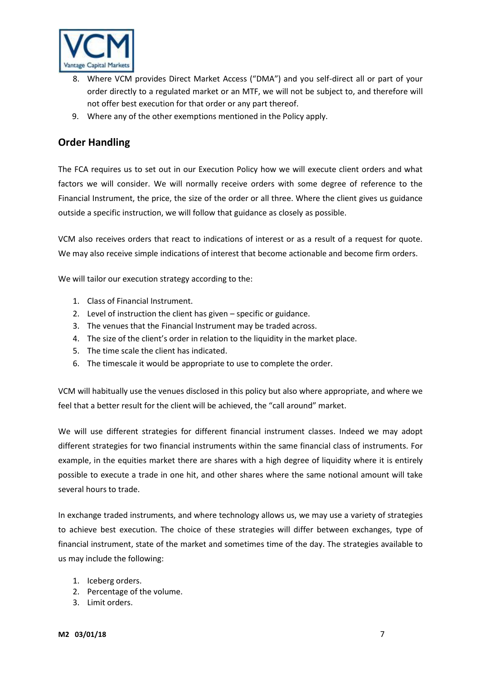

- 8. Where VCM provides Direct Market Access ("DMA") and you self-direct all or part of your order directly to a regulated market or an MTF, we will not be subject to, and therefore will not offer best execution for that order or any part thereof.
- 9. Where any of the other exemptions mentioned in the Policy apply.

# **Order Handling**

The FCA requires us to set out in our Execution Policy how we will execute client orders and what factors we will consider. We will normally receive orders with some degree of reference to the Financial Instrument, the price, the size of the order or all three. Where the client gives us guidance outside a specific instruction, we will follow that guidance as closely as possible.

VCM also receives orders that react to indications of interest or as a result of a request for quote. We may also receive simple indications of interest that become actionable and become firm orders.

We will tailor our execution strategy according to the:

- 1. Class of Financial Instrument.
- 2. Level of instruction the client has given specific or guidance.
- 3. The venues that the Financial Instrument may be traded across.
- 4. The size of the client's order in relation to the liquidity in the market place.
- 5. The time scale the client has indicated.
- 6. The timescale it would be appropriate to use to complete the order.

VCM will habitually use the venues disclosed in this policy but also where appropriate, and where we feel that a better result for the client will be achieved, the "call around" market.

We will use different strategies for different financial instrument classes. Indeed we may adopt different strategies for two financial instruments within the same financial class of instruments. For example, in the equities market there are shares with a high degree of liquidity where it is entirely possible to execute a trade in one hit, and other shares where the same notional amount will take several hours to trade.

In exchange traded instruments, and where technology allows us, we may use a variety of strategies to achieve best execution. The choice of these strategies will differ between exchanges, type of financial instrument, state of the market and sometimes time of the day. The strategies available to us may include the following:

- 1. Iceberg orders.
- 2. Percentage of the volume.
- 3. Limit orders.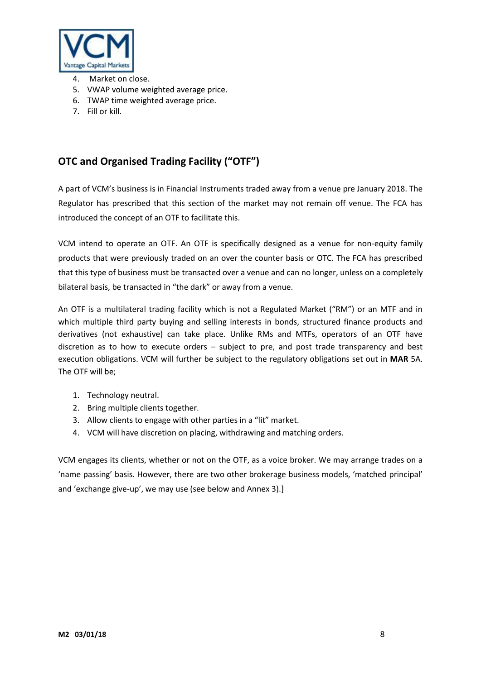

- 4. Market on close.
- 5. VWAP volume weighted average price.
- 6. TWAP time weighted average price.
- 7. Fill or kill.

# **OTC and Organised Trading Facility ("OTF")**

A part of VCM's business is in Financial Instruments traded away from a venue pre January 2018. The Regulator has prescribed that this section of the market may not remain off venue. The FCA has introduced the concept of an OTF to facilitate this.

VCM intend to operate an OTF. An OTF is specifically designed as a venue for non-equity family products that were previously traded on an over the counter basis or OTC. The FCA has prescribed that this type of business must be transacted over a venue and can no longer, unless on a completely bilateral basis, be transacted in "the dark" or away from a venue.

An OTF is a multilateral trading facility which is not a Regulated Market ("RM") or an MTF and in which multiple third party buying and selling interests in bonds, structured finance products and derivatives (not exhaustive) can take place. Unlike RMs and MTFs, operators of an OTF have discretion as to how to execute orders – subject to pre, and post trade transparency and best execution obligations. VCM will further be subject to the regulatory obligations set out in **MAR** 5A. The OTF will be;

- 1. Technology neutral.
- 2. Bring multiple clients together.
- 3. Allow clients to engage with other parties in a "lit" market.
- 4. VCM will have discretion on placing, withdrawing and matching orders.

VCM engages its clients, whether or not on the OTF, as a voice broker. We may arrange trades on a 'name passing' basis. However, there are two other brokerage business models, 'matched principal' and 'exchange give-up', we may use (see below and Annex 3).]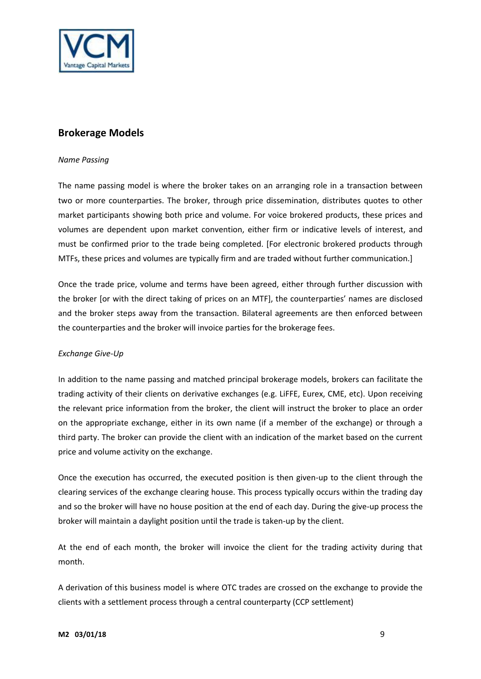

# **Brokerage Models**

#### *Name Passing*

The name passing model is where the broker takes on an arranging role in a transaction between two or more counterparties. The broker, through price dissemination, distributes quotes to other market participants showing both price and volume. For voice brokered products, these prices and volumes are dependent upon market convention, either firm or indicative levels of interest, and must be confirmed prior to the trade being completed. [For electronic brokered products through MTFs, these prices and volumes are typically firm and are traded without further communication.]

Once the trade price, volume and terms have been agreed, either through further discussion with the broker [or with the direct taking of prices on an MTF], the counterparties' names are disclosed and the broker steps away from the transaction. Bilateral agreements are then enforced between the counterparties and the broker will invoice parties for the brokerage fees.

#### *Exchange Give-Up*

In addition to the name passing and matched principal brokerage models, brokers can facilitate the trading activity of their clients on derivative exchanges (e.g. LiFFE, Eurex, CME, etc). Upon receiving the relevant price information from the broker, the client will instruct the broker to place an order on the appropriate exchange, either in its own name (if a member of the exchange) or through a third party. The broker can provide the client with an indication of the market based on the current price and volume activity on the exchange.

Once the execution has occurred, the executed position is then given-up to the client through the clearing services of the exchange clearing house. This process typically occurs within the trading day and so the broker will have no house position at the end of each day. During the give-up process the broker will maintain a daylight position until the trade is taken-up by the client.

At the end of each month, the broker will invoice the client for the trading activity during that month.

A derivation of this business model is where OTC trades are crossed on the exchange to provide the clients with a settlement process through a central counterparty (CCP settlement)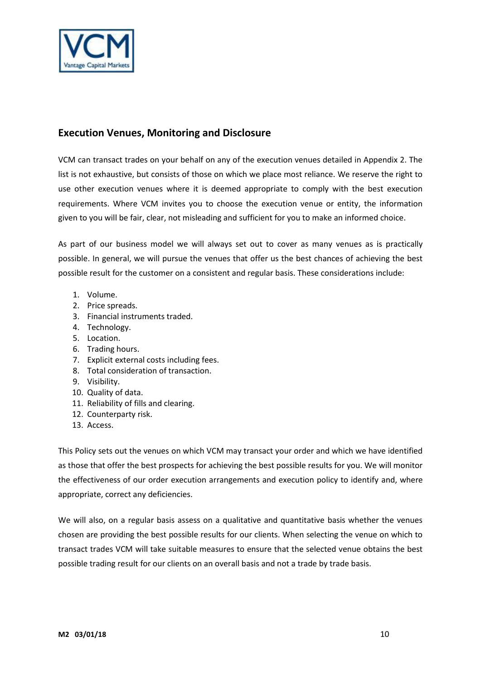

# **Execution Venues, Monitoring and Disclosure**

VCM can transact trades on your behalf on any of the execution venues detailed in Appendix 2. The list is not exhaustive, but consists of those on which we place most reliance. We reserve the right to use other execution venues where it is deemed appropriate to comply with the best execution requirements. Where VCM invites you to choose the execution venue or entity, the information given to you will be fair, clear, not misleading and sufficient for you to make an informed choice.

As part of our business model we will always set out to cover as many venues as is practically possible. In general, we will pursue the venues that offer us the best chances of achieving the best possible result for the customer on a consistent and regular basis. These considerations include:

- 1. Volume.
- 2. Price spreads.
- 3. Financial instruments traded.
- 4. Technology.
- 5. Location.
- 6. Trading hours.
- 7. Explicit external costs including fees.
- 8. Total consideration of transaction.
- 9. Visibility.
- 10. Quality of data.
- 11. Reliability of fills and clearing.
- 12. Counterparty risk.
- 13. Access.

This Policy sets out the venues on which VCM may transact your order and which we have identified as those that offer the best prospects for achieving the best possible results for you. We will monitor the effectiveness of our order execution arrangements and execution policy to identify and, where appropriate, correct any deficiencies.

We will also, on a regular basis assess on a qualitative and quantitative basis whether the venues chosen are providing the best possible results for our clients. When selecting the venue on which to transact trades VCM will take suitable measures to ensure that the selected venue obtains the best possible trading result for our clients on an overall basis and not a trade by trade basis.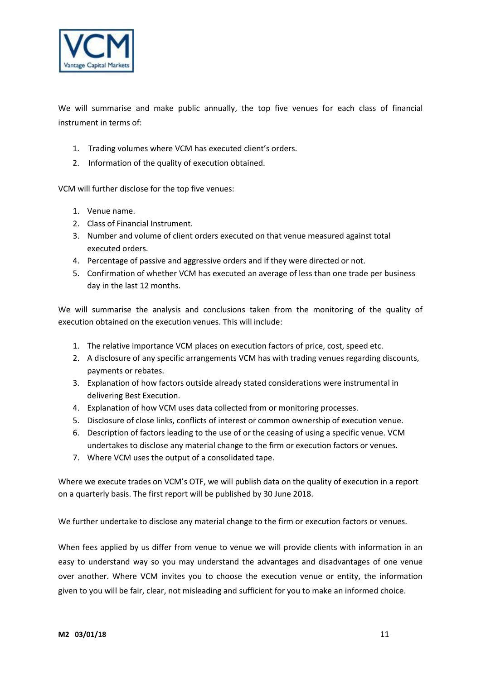

We will summarise and make public annually, the top five venues for each class of financial instrument in terms of:

- 1. Trading volumes where VCM has executed client's orders.
- 2. Information of the quality of execution obtained.

VCM will further disclose for the top five venues:

- 1. Venue name.
- 2. Class of Financial Instrument.
- 3. Number and volume of client orders executed on that venue measured against total executed orders.
- 4. Percentage of passive and aggressive orders and if they were directed or not.
- 5. Confirmation of whether VCM has executed an average of less than one trade per business day in the last 12 months.

We will summarise the analysis and conclusions taken from the monitoring of the quality of execution obtained on the execution venues. This will include:

- 1. The relative importance VCM places on execution factors of price, cost, speed etc.
- 2. A disclosure of any specific arrangements VCM has with trading venues regarding discounts, payments or rebates.
- 3. Explanation of how factors outside already stated considerations were instrumental in delivering Best Execution.
- 4. Explanation of how VCM uses data collected from or monitoring processes.
- 5. Disclosure of close links, conflicts of interest or common ownership of execution venue.
- 6. Description of factors leading to the use of or the ceasing of using a specific venue. VCM undertakes to disclose any material change to the firm or execution factors or venues.
- 7. Where VCM uses the output of a consolidated tape.

Where we execute trades on VCM's OTF, we will publish data on the quality of execution in a report on a quarterly basis. The first report will be published by 30 June 2018.

We further undertake to disclose any material change to the firm or execution factors or venues.

When fees applied by us differ from venue to venue we will provide clients with information in an easy to understand way so you may understand the advantages and disadvantages of one venue over another. Where VCM invites you to choose the execution venue or entity, the information given to you will be fair, clear, not misleading and sufficient for you to make an informed choice.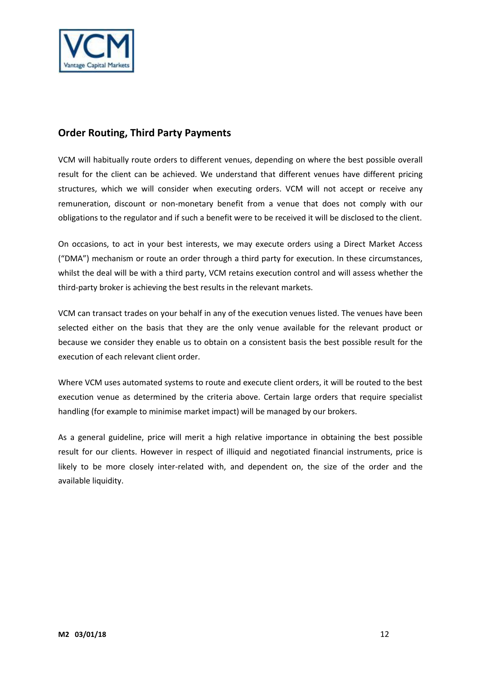

# **Order Routing, Third Party Payments**

VCM will habitually route orders to different venues, depending on where the best possible overall result for the client can be achieved. We understand that different venues have different pricing structures, which we will consider when executing orders. VCM will not accept or receive any remuneration, discount or non-monetary benefit from a venue that does not comply with our obligations to the regulator and if such a benefit were to be received it will be disclosed to the client.

On occasions, to act in your best interests, we may execute orders using a Direct Market Access ("DMA") mechanism or route an order through a third party for execution. In these circumstances, whilst the deal will be with a third party, VCM retains execution control and will assess whether the third-party broker is achieving the best results in the relevant markets.

VCM can transact trades on your behalf in any of the execution venues listed. The venues have been selected either on the basis that they are the only venue available for the relevant product or because we consider they enable us to obtain on a consistent basis the best possible result for the execution of each relevant client order.

Where VCM uses automated systems to route and execute client orders, it will be routed to the best execution venue as determined by the criteria above. Certain large orders that require specialist handling (for example to minimise market impact) will be managed by our brokers.

As a general guideline, price will merit a high relative importance in obtaining the best possible result for our clients. However in respect of illiquid and negotiated financial instruments, price is likely to be more closely inter-related with, and dependent on, the size of the order and the available liquidity.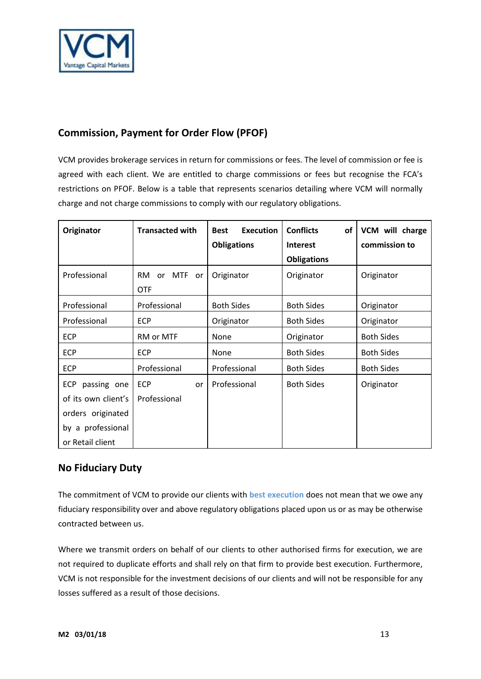

# **Commission, Payment for Order Flow (PFOF)**

VCM provides brokerage services in return for commissions or fees. The level of commission or fee is agreed with each client. We are entitled to charge commissions or fees but recognise the FCA's restrictions on PFOF. Below is a table that represents scenarios detailing where VCM will normally charge and not charge commissions to comply with our regulatory obligations.

| Originator                                                                                                     | <b>Transacted with</b>                     | <b>Execution</b><br><b>Best</b><br><b>Obligations</b> | <b>Conflicts</b><br><b>of</b><br><b>Interest</b><br><b>Obligations</b> | VCM will charge<br>commission to |
|----------------------------------------------------------------------------------------------------------------|--------------------------------------------|-------------------------------------------------------|------------------------------------------------------------------------|----------------------------------|
| Professional                                                                                                   | <b>MTF</b><br>RM<br>or<br>or<br><b>OTF</b> | Originator                                            | Originator                                                             | Originator                       |
| Professional                                                                                                   | Professional                               | <b>Both Sides</b>                                     | <b>Both Sides</b>                                                      | Originator                       |
| Professional                                                                                                   | <b>ECP</b>                                 | Originator                                            | <b>Both Sides</b>                                                      | Originator                       |
| <b>ECP</b>                                                                                                     | <b>RM or MTF</b>                           | None                                                  | Originator                                                             | <b>Both Sides</b>                |
| <b>ECP</b>                                                                                                     | <b>ECP</b>                                 | None                                                  | <b>Both Sides</b>                                                      | <b>Both Sides</b>                |
| ECP                                                                                                            | Professional                               | Professional                                          | <b>Both Sides</b>                                                      | <b>Both Sides</b>                |
| <b>ECP</b><br>passing one<br>of its own client's<br>orders originated<br>by a professional<br>or Retail client | <b>ECP</b><br>or<br>Professional           | Professional                                          | <b>Both Sides</b>                                                      | Originator                       |

# **No Fiduciary Duty**

The commitment of VCM to provide our clients with **best execution** does not mean that we owe any fiduciary responsibility over and above regulatory obligations placed upon us or as may be otherwise contracted between us.

Where we transmit orders on behalf of our clients to other authorised firms for execution, we are not required to duplicate efforts and shall rely on that firm to provide best execution. Furthermore, VCM is not responsible for the investment decisions of our clients and will not be responsible for any losses suffered as a result of those decisions.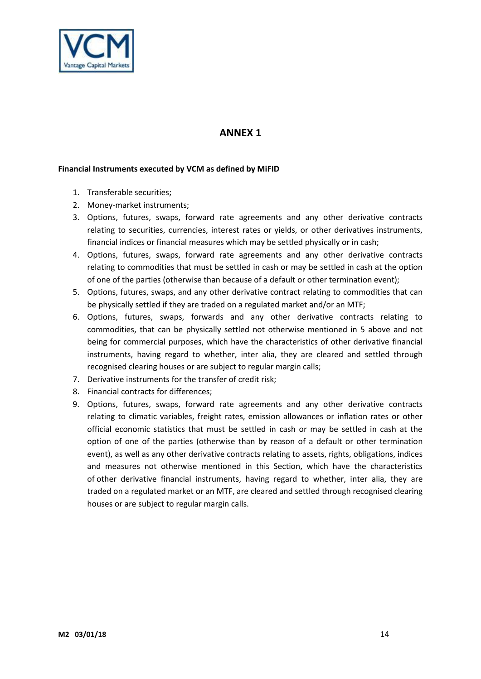

# **ANNEX 1**

#### **Financial Instruments executed by VCM as defined by MiFID**

- 1. Transferable securities;
- 2. Money-market instruments;
- 3. Options, futures, swaps, forward rate agreements and any other derivative contracts relating to securities, currencies, interest rates or yields, or other derivatives instruments, financial indices or financial measures which may be settled physically or in cash;
- 4. Options, futures, swaps, forward rate agreements and any other derivative contracts relating to commodities that must be settled in cash or may be settled in cash at the option of one of the parties (otherwise than because of a default or other termination event);
- 5. Options, futures, swaps, and any other derivative contract relating to commodities that can be physically settled if they are traded on a regulated market and/or an MTF;
- 6. Options, futures, swaps, forwards and any other derivative contracts relating to commodities, that can be physically settled not otherwise mentioned in 5 above and not being for commercial purposes, which have the characteristics of other derivative financial instruments, having regard to whether, inter alia, they are cleared and settled through recognised clearing houses or are subject to regular margin calls;
- 7. Derivative instruments for the transfer of credit risk;
- 8. Financial contracts for differences;
- 9. Options, futures, swaps, forward rate agreements and any other derivative contracts relating to climatic variables, freight rates, emission allowances or inflation rates or other official economic statistics that must be settled in cash or may be settled in cash at the option of one of the parties (otherwise than by reason of a default or other termination event), as well as any other derivative contracts relating to assets, rights, obligations, indices and measures not otherwise mentioned in this Section, which have the characteristics of other derivative financial instruments, having regard to whether, inter alia, they are traded on a regulated market or an MTF, are cleared and settled through recognised clearing houses or are subject to regular margin calls.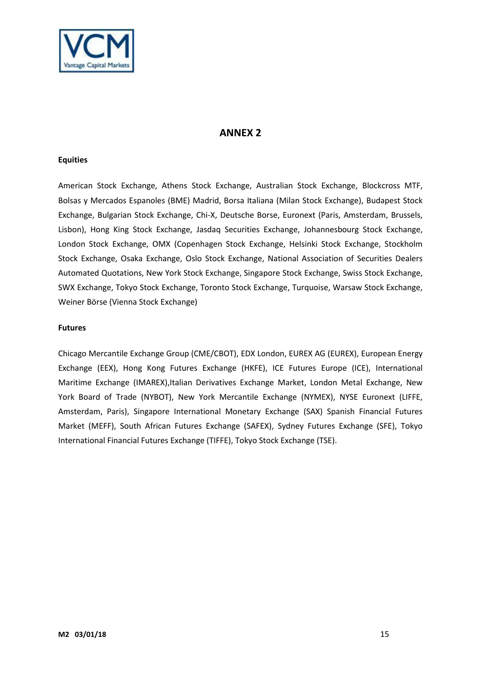

# **ANNEX 2**

#### **Equities**

American Stock Exchange, Athens Stock Exchange, Australian Stock Exchange, Blockcross MTF, Bolsas y Mercados Espanoles (BME) Madrid, Borsa Italiana (Milan Stock Exchange), Budapest Stock Exchange, Bulgarian Stock Exchange, Chi-X, Deutsche Borse, Euronext (Paris, Amsterdam, Brussels, Lisbon), Hong King Stock Exchange, Jasdaq Securities Exchange, Johannesbourg Stock Exchange, London Stock Exchange, OMX (Copenhagen Stock Exchange, Helsinki Stock Exchange, Stockholm Stock Exchange, Osaka Exchange, Oslo Stock Exchange, National Association of Securities Dealers Automated Quotations, New York Stock Exchange, Singapore Stock Exchange, Swiss Stock Exchange, SWX Exchange, Tokyo Stock Exchange, Toronto Stock Exchange, Turquoise, Warsaw Stock Exchange, Weiner Börse (Vienna Stock Exchange)

#### **Futures**

Chicago Mercantile Exchange Group (CME/CBOT), EDX London, EUREX AG (EUREX), European Energy Exchange (EEX), Hong Kong Futures Exchange (HKFE), ICE Futures Europe (ICE), International Maritime Exchange (IMAREX),Italian Derivatives Exchange Market, London Metal Exchange, New York Board of Trade (NYBOT), New York Mercantile Exchange (NYMEX), NYSE Euronext (LIFFE, Amsterdam, Paris), Singapore International Monetary Exchange (SAX) Spanish Financial Futures Market (MEFF), South African Futures Exchange (SAFEX), Sydney Futures Exchange (SFE), Tokyo International Financial Futures Exchange (TIFFE), Tokyo Stock Exchange (TSE).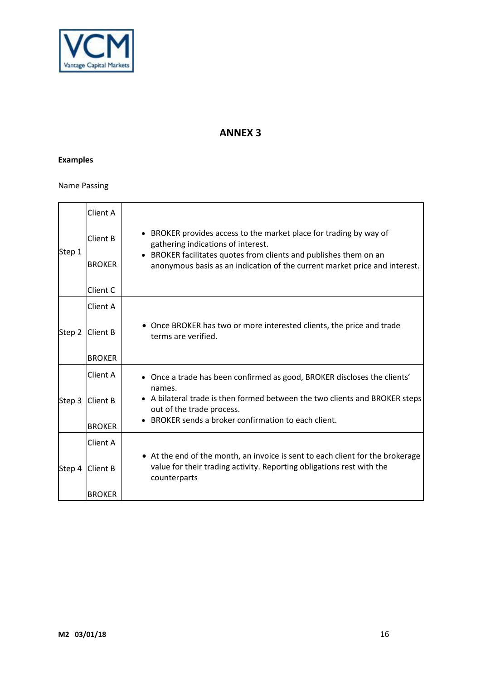

# **ANNEX 3**

# **Examples**

#### Name Passing

| Step 1 | <b>Client A</b>                  |                                                                                                                                                                                                                                                           |
|--------|----------------------------------|-----------------------------------------------------------------------------------------------------------------------------------------------------------------------------------------------------------------------------------------------------------|
|        | <b>Client B</b><br><b>BROKER</b> | • BROKER provides access to the market place for trading by way of<br>gathering indications of interest.<br>BROKER facilitates quotes from clients and publishes them on an<br>anonymous basis as an indication of the current market price and interest. |
|        | <b>Client C</b>                  |                                                                                                                                                                                                                                                           |
| Step 2 | Client A                         |                                                                                                                                                                                                                                                           |
|        | Client B                         | • Once BROKER has two or more interested clients, the price and trade<br>terms are verified.                                                                                                                                                              |
|        | <b>BROKER</b>                    |                                                                                                                                                                                                                                                           |
| Step 3 | Client A                         | Once a trade has been confirmed as good, BROKER discloses the clients'                                                                                                                                                                                    |
|        | <b>Client B</b>                  | names.<br>A bilateral trade is then formed between the two clients and BROKER steps<br>out of the trade process.                                                                                                                                          |
|        | <b>BROKER</b>                    | BROKER sends a broker confirmation to each client.                                                                                                                                                                                                        |
| Step 4 | <b>Client A</b>                  |                                                                                                                                                                                                                                                           |
|        | Client B                         | • At the end of the month, an invoice is sent to each client for the brokerage<br>value for their trading activity. Reporting obligations rest with the<br>counterparts                                                                                   |
|        | <b>IBROKER</b>                   |                                                                                                                                                                                                                                                           |